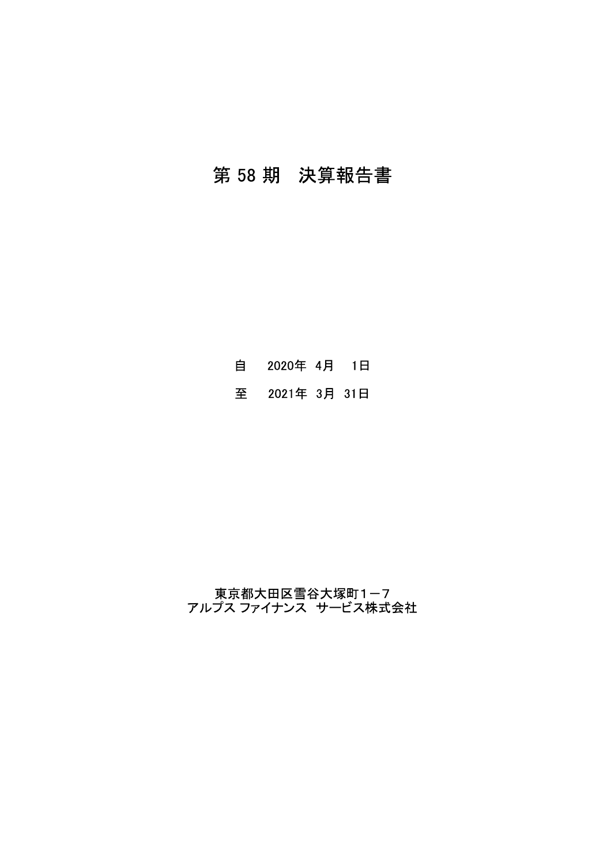# 第 58 期 決算報告書

自 2020年 4月 1日

至 2021年 3月 31日

東京都大田区雪谷大塚町1-7<br>アルプス ファイナンス サービス株式会社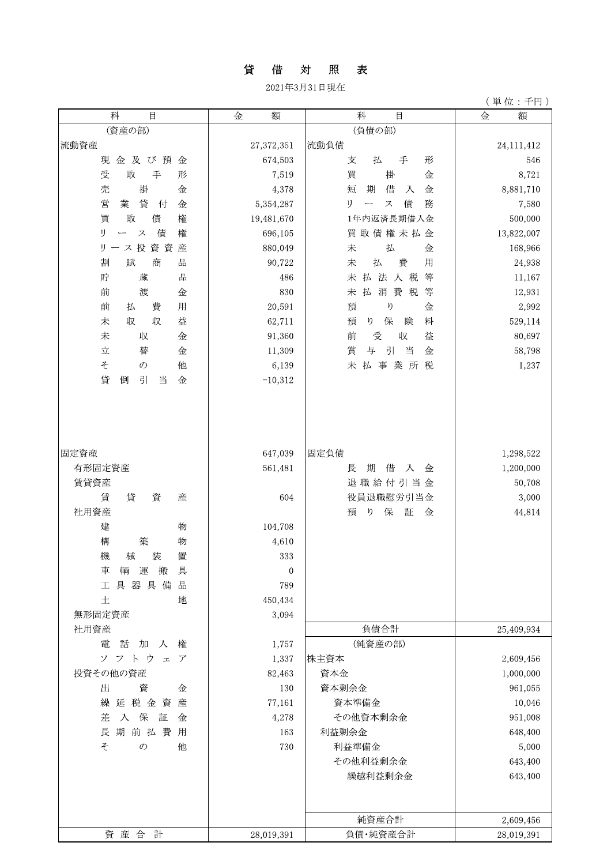### 貸 借 対 照 表

2021年3月31日現在

| 科<br>$\Box$                         | 金<br>額       | 科<br>$\boxminus$                                                            | 金<br>額     |
|-------------------------------------|--------------|-----------------------------------------------------------------------------|------------|
| (資産の部)                              |              | (負債の部)                                                                      |            |
| 流動資産                                | 27,372,351   | 流動負債                                                                        | 24,111,412 |
| 現金及び預<br>金                          | 674,503      | 支<br>払<br>手<br>形                                                            | 546        |
| 受<br>取<br>手<br>形                    | 7,519        | 買<br>掛<br>金                                                                 | 8,721      |
| 掛<br>売<br>金                         | 4,378        | 短<br>期<br>借<br>金<br>入                                                       | 8,881,710  |
| 貸<br>営<br>業<br>付<br>金               | 5,354,287    | 債<br>IJ<br>務<br>$\boldsymbol{\mathcal{Z}}$<br>$\overbrace{\phantom{aaaaa}}$ | 7,580      |
| 買<br>債<br>権<br>取                    | 19,481,670   | 1年内返済長期借入金                                                                  | 500,000    |
| 債<br>権<br>IJ<br>$\bar{\mathcal{Z}}$ | 696,105      | 買取債権未払金                                                                     | 13,822,007 |
| リース投資資<br>産                         | 880,049      | 払<br>未<br>金                                                                 | 168,966    |
| 割<br>賦<br>商<br>品                    | 90,722       | 費<br>払<br>用<br>未                                                            | 24,938     |
| 品<br>貯<br>蔵                         | 486          | 払法人税<br>等<br>未                                                              | 11,167     |
| 前<br>渡<br>金                         | 830          | 払<br>消費<br>等<br>未<br>税                                                      | 12,931     |
| 前<br>費<br>用<br>払                    | 20,591       | 預<br>Ŋ<br>金                                                                 | 2,992      |
| 収<br>益<br>未<br>収                    | 62,711       | 保<br>料<br>預<br>ŋ<br>険                                                       | 529,114    |
| 未<br>収<br>金                         | 91,360       | 益<br>前<br>受<br>収                                                            | 80,697     |
| 立<br>替<br>金                         | 11,309       | 引<br>賞<br>当<br>与<br>金                                                       | 58,798     |
| 他<br>$\approx$<br>$\mathcal{O}$     | 6,139        | 事業<br>未<br>払<br>所<br>税                                                      | 1,237      |
| 貸<br>倒<br>引<br>当<br>金               | $-10,312$    |                                                                             |            |
|                                     |              |                                                                             |            |
| 固定資産                                | 647,039      | 固定負債                                                                        | 1,298,522  |
| 有形固定資産                              | 561,481      | 期<br>借<br>長<br>入<br>金                                                       | 1,200,000  |
| 賃貸資産                                |              | 退職給付引当金                                                                     | 50,708     |
| 賃<br>貸<br>資<br>産                    | 604          | 役員退職慰労引当金                                                                   | 3,000      |
| 社用資産                                |              | 保<br>証<br>預<br>ŋ<br>金                                                       | 44,814     |
| 建<br>物                              | 104,708      |                                                                             |            |
| 構<br>築<br>物                         | 4,610        |                                                                             |            |
| 機<br>装<br>置<br>械                    | 333          |                                                                             |            |
| 車<br>輌 運<br>搬<br>具                  | $\mathbf{0}$ |                                                                             |            |
| 工具器具備<br>品                          | 789          |                                                                             |            |
| 土<br>地                              | 450,434      |                                                                             |            |
| 無形固定資産                              | 3,094        |                                                                             |            |
| 社用資産                                |              | 負債合計                                                                        | 25,409,934 |
| 電<br>話<br>加<br>入<br>権               | 1,757        | (純資産の部)                                                                     |            |
| ソフトウ<br>$\mathcal{T}$<br>$\pm$      | 1,337        | 株主資本                                                                        | 2,609,456  |
| 投資その他の資産                            | 82,463       | 資本金                                                                         | 1,000,000  |
| 出<br>資<br>金                         | 130          | 資本剰余金                                                                       | 961,055    |
| 延税金資<br>繰<br>産                      | 77,161       | 資本準備金                                                                       | 10,046     |
| 保<br>差<br>入<br>証<br>金               | 4,278        | その他資本剰余金                                                                    | 951,008    |
| 期前払費<br>長<br>用                      | 163          | 利益剰余金                                                                       | 648,400    |
| そ<br>$\mathcal{O}$<br>他             | 730          | 利益準備金                                                                       | 5,000      |
|                                     |              | その他利益剰余金                                                                    | 643,400    |
|                                     |              | 繰越利益剰余金                                                                     | 643,400    |
|                                     |              | 純資産合計                                                                       | 2,609,456  |
| 資産合計                                | 28,019,391   | 負債·純資産合計                                                                    | 28,019,391 |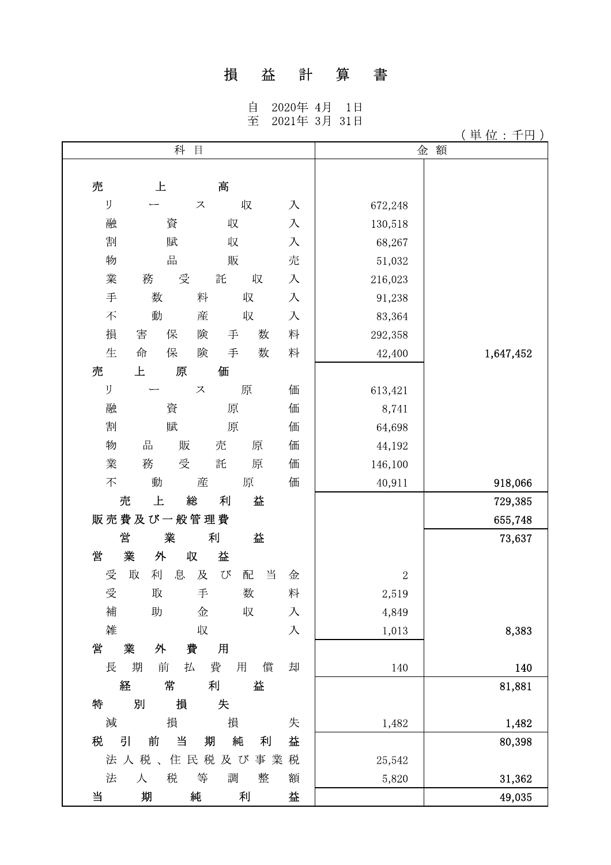## 損益計算書

自 2020年 4月 1日<br>至 2021年 3月 31日

|        | 科           | $\boxminus$   |        |   | 金              | 額         |
|--------|-------------|---------------|--------|---|----------------|-----------|
|        |             |               |        |   |                |           |
| 売      | 上           | 髙             |        |   |                |           |
| IJ     |             | ス             | 収      | 入 | 672,248        |           |
| 融      | 資           | 収             |        | 入 | 130,518        |           |
| 割      | 賦           | 収             |        | 入 | 68,267         |           |
| 物      | 品           | 販             |        | 売 | 51,032         |           |
| 業      | 受<br>務      | 託             | 収      | 入 | 216,023        |           |
| 手      | 数           | 料             | 収      | 入 | 91,238         |           |
| 不      | 動           | 産             | 収      | 入 | 83,364         |           |
| 損      | 害<br>保      | 険<br>手        | 数      | 料 | 292,358        |           |
| 生      | 保<br>命      | 険<br>手        | 数      | 料 | 42,400         | 1,647,452 |
| 売      | 上<br>原      | 価             |        |   |                |           |
| IJ     |             | ス             | 原      | 価 | 613,421        |           |
| 融      | 資           | 原             |        | 価 | 8,741          |           |
| 割      | 賦           | 原             |        | 価 | 64,698         |           |
| 物      | 出<br>販      | 売             | 原      | 価 | 44,192         |           |
| 業      | 務<br>受      | 託             | 原      | 価 | 146,100        |           |
| 不      | 動           | 産             | 原      | 価 | 40,911         | 918,066   |
| 売      | 上           | 総<br>利        | 益      |   |                | 729,385   |
|        | 販売費及び一般管理費  |               |        |   |                | 655,748   |
| 営      | 業           | 利             | 益      |   |                | 73,637    |
| 営      | 業<br>外      | 収<br>益        |        |   |                |           |
| 受      | 息<br>取<br>利 | 及<br>$\Omega$ | 当<br>配 | 金 | $\overline{2}$ |           |
| 受      | 取           | 手             | 数      | 料 | 2,519          |           |
| 補      | 助           | 金             | 収      | 入 | 4,849          |           |
| 雑      |             | 収             |        | 入 | 1,013          | 8,383     |
| 営      | 業<br>外      | 費<br>用        |        |   |                |           |
| 長      | 期<br>前<br>払 | 費<br>用        | 償      | 却 | 140            | 140       |
| 経      | 常           | 利             | 益      |   |                | 81,881    |
| 特      | 別<br>損      | 失             |        |   |                |           |
| 減      | 損           | 損             |        | 失 | 1,482          | 1,482     |
| 税<br>引 | 当<br>前      | 期<br>純        | 利      | 益 |                | 80,398    |
|        | 法人税、        | 住民税<br>及び     | 事業     | 税 | 25,542         |           |
| 法      | 税<br>人      | 調<br>等        | 整      | 額 | 5,820          | 31,362    |
| 当      | 期           | 純             | 利      | 益 |                | 49,035    |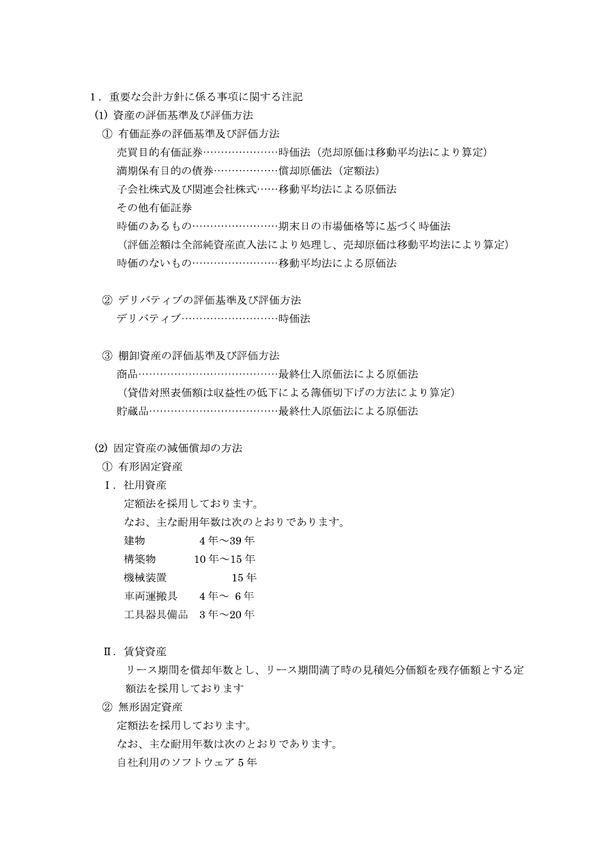- 1.里要な会計力針に係る事根に関する注記
- 
- 1. 重要な会計方針に係る事項に関する注記<br>(1) 資産の評価基準及び評価方法<br>① 有価証券の評価基準及び評価方法<br>売買目的有価証券…………………………憤価法(売却原価は移動平均法により算定)<br>満期保有目的の債券……………………増却原価法(定額法)<br>子会社株式及び関連会社株式……移動平均法による原価法<br>その他有価証券<br>時価のあるもの………………………期末日の市場価格等に基づく時価法<br>(評価法額は全部純資産直入法により処理し、売却原価は移
	- ② デリバティブの評価基準及び評価方法 デリバティブ……………………………時価法
	- 3 棚卸資産の評価基準及び評価方法 商品……………………………………………最終仕入原価法による原価法

(貸借対照表価額は収益性の低下による簿価切下げの方法により算定) 貯蔵品………………………………………………最終什入原価法による原価法

- (2) 固定資産の減価償却の方法<br>① 有形固定資産
	-
	- I. 社用資産

定額法を採用しております。 なお、主な耐用年数は次のとおりであります。 建物 4年~39年 構築物 10年~15年 機械装置 15年 車両運搬具 4年~6年 工具器具備品 3年~20年

II. 賃貸資産

リース期間を償却年数とし、リース期間満了時の見積処分価額を残存価額とする定 額法を採用しております

② 無形固定資産

定額法を採用しております。

なお、主な耐用年数は次のとおりであります。

自社利用のソフトウェア5年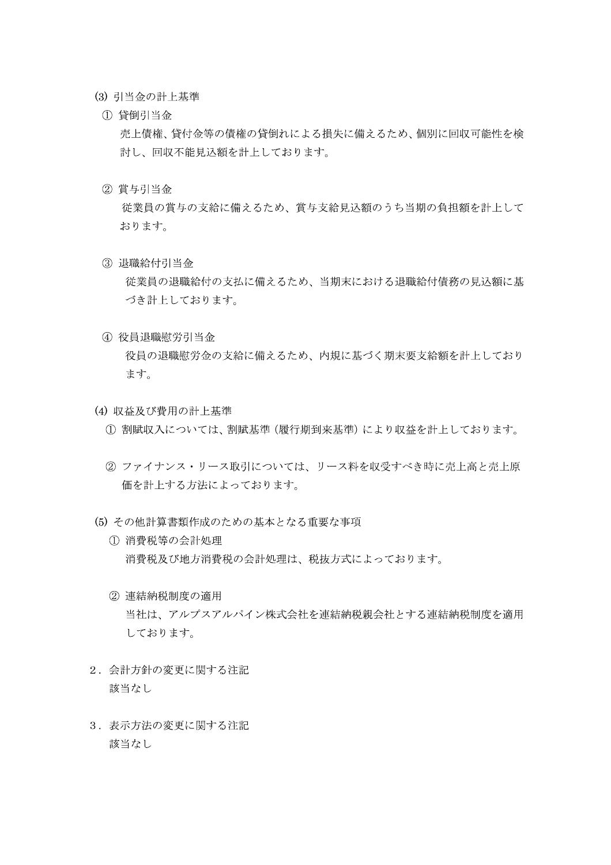- (3) 引当金の計上基準
	- ① 貸倒引当金

売上債権、貸付金等の債権の貸倒れによる損失に備えるため、個別に回収可能性を検 討し、回収不能見込額を計上しております。

② 賞与引当金

従業員の賞与の支給に備えるため、賞与支給見込額のうち当期の負担額を計上して おります。

(3) 退職給付引当金

従業員の退職給付の支払に備えるため、当期末における退職給付債務の見込額に基 づき計上しております。

- 4) 役員退職慰労引当金 役員の退職慰労金の支給に備えるため、内規に基づく期末要支給額を計上しており ます。
- (4) 収益及び費用の計上基準
	- (1) 割賦収入については、割賦基準(履行期到来基準)により収益を計上しております。
	- ② ファイナンス・リース取引については、リース料を収受すべき時に売上高と売上原 価を計上する方法によっております。
- (5) その他計算書類作成のための基本となる重要な事項
	- ① 消費税等の会計処理 消費税及び地方消費税の会計処理は、税抜方式によっております。
	- ② 連結納税制度の適用 当社は、アルプスアルパイン株式会社を連結納税親会社とする連結納税制度を適用 しております。
- 2. 会計方針の変更に関する注記 該当なし
- 3. 表示方法の変更に関する注記 該当なし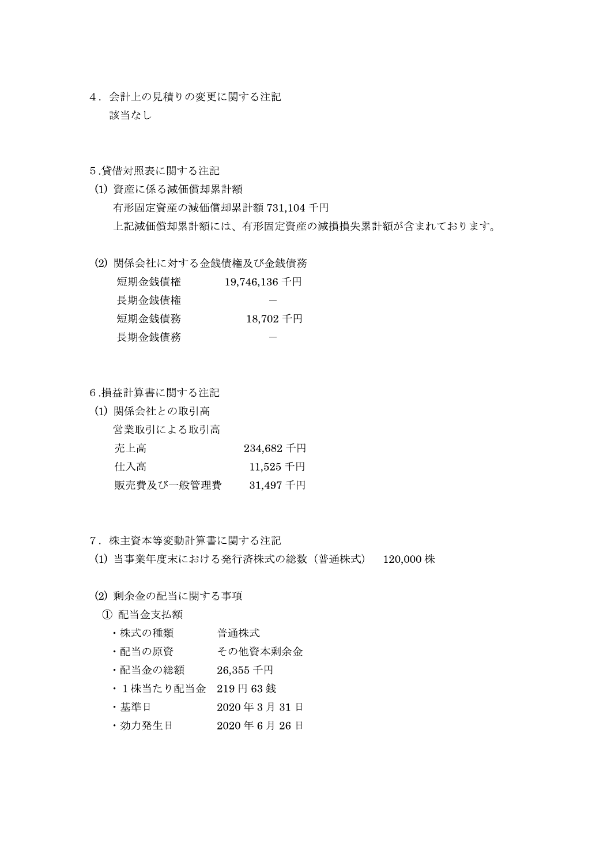4. 会計上の見積りの変更に関する注記 該当なし

#### 5.貸借対照表に関する注記

- (1) 資産に係る減価償却累計額 有形固定資産の減価償却累計額 731,104 千円 上記減価償却累計額には、有形固定資産の減損損失累計額が含まれております。
- (2) 関係会社に対する金銭債権及び金銭債務

| $19,746,136$ 千円 | 短期金銭債権 |
|-----------------|--------|
|                 | 長期金銭債権 |
| 18,702 千円       | 短期金銭債務 |
|                 | 長期金銭債務 |

6.損益計算書に関する注記

(1) 関係会社との取引高 営業取引による取引高 売上高 234,682 千円 仕入高  $11,525$  千円 販売費及び一般管理費 31,497 千円

7. 株主資本等変動計算書に関する注記

(1) 当事業年度末における発行済株式の総数 (普通株式) 120,000株

(2) 剰余金の配当に関する事項

- ① 配当金支払額
	- ・株式の種類 普通株式
	- ・配当の原資 その他資本剰余金
	- ・配当金の総額  $26,355$ 千円
	- ・1株当たり配当金 219円63銭
	- ・基準日 2020年3月31日
	- ・効力発生日  $2020 46 5 26$ 日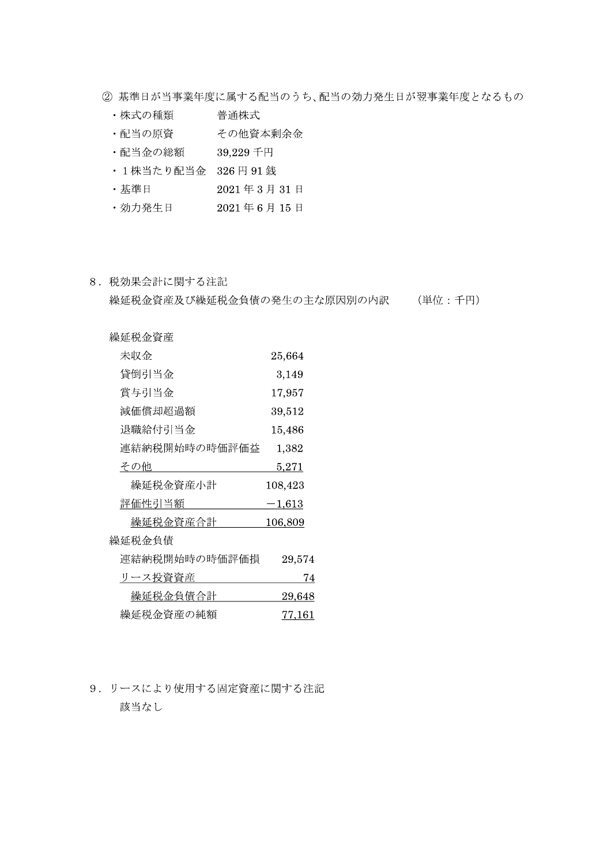- ② 基準日が当事業年度に属する配当のうち、配当の効力発生日が翌事業年度となるもの
	- ・株式の種類 普通株式
	- 配当の原資 その他資本剰余金
	- ・配当金の総額 39,229千円
	- ・1株当たり配当金 326円91銭
	- ・基準日 2021年3月31日
	- · 効力発生日 2021年6月15日
- 8. 税効果会計に関する注記

繰延税金資産及び繰延税金負債の発生の主な原因別の内訳 (単位:千円)

| 繰延税金資産        |            |
|---------------|------------|
| 未収金           | $25,\!664$ |
| 貸倒引当金         | 3,149      |
| 賞与引当金         | 17,957     |
| 減価償却超過額       | $39{,}512$ |
| 退職給付引当金       | 15,486     |
| 連結納税開始時の時価評価益 | 1,382      |
| その他           | 5,271      |
| 繰延税金資産小計      | 108,423    |
| 評価性引当額        | $-1,613$   |
| 繰延税金資産合計      | 106,809    |
| 繰延税金負債        |            |
| 連結納税開始時の時価評価損 | 29,574     |
| リース投資資産       | 74         |
| 繰延税金負債合計      | 29,648     |
| 繰延税金資産の純額     | 77.161     |

9. リースにより使用する固定資産に関する注記 該当なし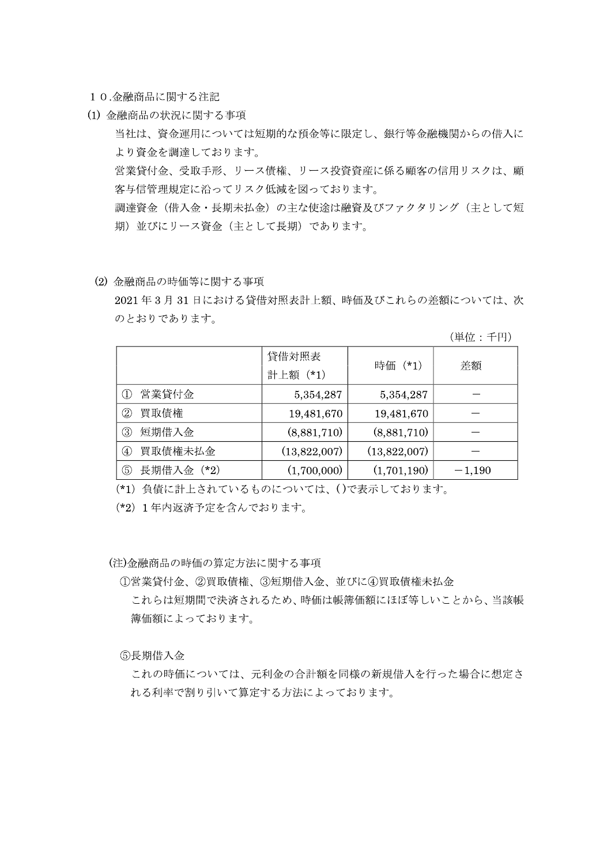10.金融商品に関する注記

(1) 金融商品の状況に関する事項

当社は、資金運用については短期的な預金等に限定し、銀行等金融機関からの借入に より資金を調達しております。

営業貸付金、受取手形、リース債権、リース投資資産に係る顧客の信用リスクは、顧 客与信管理規定に沿ってリスク低減を図っております。

調達資金(借入金・長期未払金)の主な使途は融資及びファクタリング(主として短 期)並びにリース資金(主として長期)であります。

(2) 金融商品の時価等に関する事項

2021年3月31日における貸借対照表計上額、時価及びこれらの差額については、次 のとおりであります。

(単位:千円)

|                   | 貸借対照表<br>計上額 (*1) | 時価 (*1)      | 差額       |  |
|-------------------|-------------------|--------------|----------|--|
| 営業貸付金             | 5,354,287         | 5,354,287    |          |  |
|                   |                   |              |          |  |
| 買取債権<br>②         | 19,481,670        | 19,481,670   |          |  |
| 短期借入金<br>③        | (8,881,710)       | (8,881,710)  |          |  |
| 買取債権未払金<br>(4)    | (13,822,007)      | (13,822,007) |          |  |
| 長期借入金 (*2)<br>(5) | (1,700,000)       | (1,701,190)  | $-1,190$ |  |

(\*1) 負債に計上されているものについては、()で表示しております。

(\*2) 1年内返済予定を含んでおります。

(注)金融商品の時価の算定方法に関する事項

①営業貸付金、②買取債権、③短期借入金、並びに4)買取債権未払金

これらは短期間で決済されるため、時価は帳簿価額にほぼ等しいことから、当該帳 簿価額によっております。

6長期借入金

これの時価については、元利金の合計額を同様の新規借入を行った場合に想定さ れる利率で割り引いて算定する方法によっております。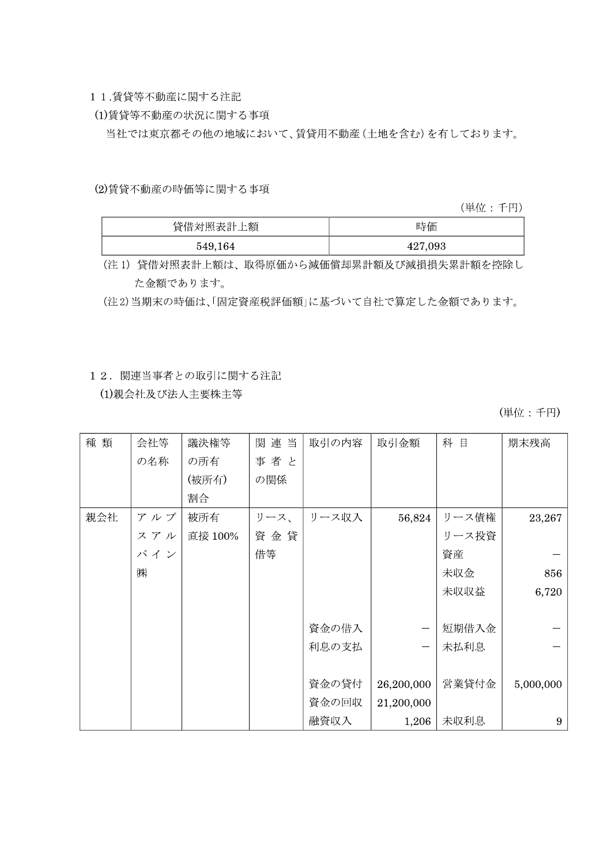- 11.賃貸等不動産に関する注記
- (1)賃貸等不動産の状況に関する事項

当社では東京都その他の地域において、賃貸用不動産(土地を含む)を有しております。

(2)賃貸不動産の時価等に関する事項

(単位:千円)

| 貸借対照表計上額 | 時価      |
|----------|---------|
| 549,164  | 427,093 |

(注1) 貸借対照表計上額は、取得原価から減価償却累計額及び減損損失累計額を控除し た金額であります。

(注2)当期末の時価は、「固定資産税評価額」に基づいて自社で算定した金額であります。

### 12. 関連当事者との取引に関する注記

(1)親会社及び法人主要株主等

| 種類  | 会社等 | 議決権等    | 関連当  | 取引の内容 | 取引金額                     | 科 目   | 期末残高      |
|-----|-----|---------|------|-------|--------------------------|-------|-----------|
|     | の名称 | の所有     | 事者と  |       |                          |       |           |
|     |     | (被所有)   | の関係  |       |                          |       |           |
|     |     | 割合      |      |       |                          |       |           |
| 親会社 | アルプ | 被所有     | リース、 | リース収入 | 56,824                   | リース債権 | 23,267    |
|     | スアル | 直接 100% | 資金貸  |       |                          | リース投資 |           |
|     | パイン |         | 借等   |       |                          | 資産    |           |
|     | ㈱   |         |      |       |                          | 未収金   | 856       |
|     |     |         |      |       |                          | 未収収益  | 6,720     |
|     |     |         |      |       |                          |       |           |
|     |     |         |      | 資金の借入 |                          | 短期借入金 |           |
|     |     |         |      | 利息の支払 | $\overline{\phantom{0}}$ | 未払利息  |           |
|     |     |         |      |       |                          |       |           |
|     |     |         |      | 資金の貸付 | 26,200,000               | 営業貸付金 | 5,000,000 |
|     |     |         |      | 資金の回収 | 21,200,000               |       |           |
|     |     |         |      | 融資収入  | 1,206                    | 未収利息  | 9         |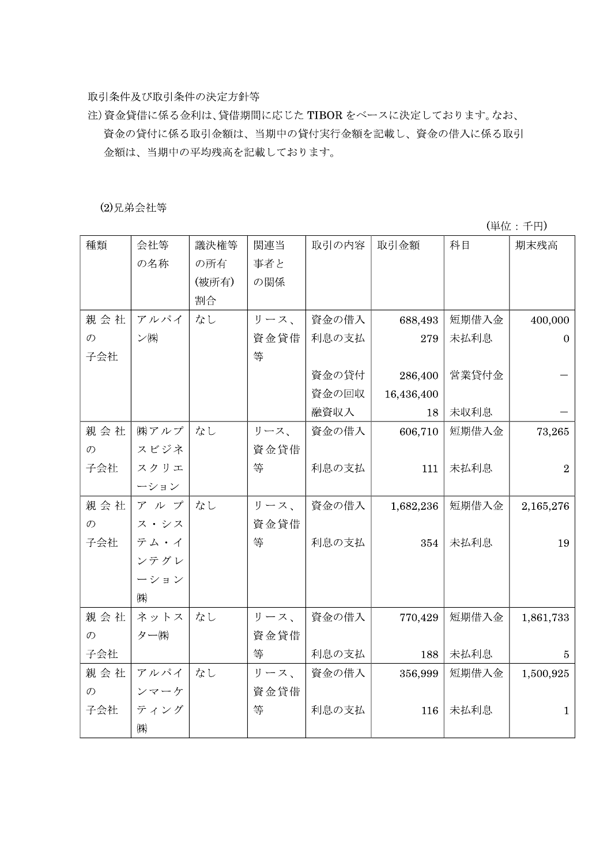取引条件及び取引条件の決定方針等

注)資金貸借に係る金利は、貸借期間に応じた TIBOR をベースに決定しております。なお、 資金の貸付に係る取引金額は、当期中の貸付実行金額を記載し、資金の借入に係る取引 金額は、当期中の平均残高を記載しております。

(2)兄弟会社等

| 種類            | 会社等   | 議決権等  | 関連当  | 取引の内容 | 取引金額       | 科目    | 期末残高             |
|---------------|-------|-------|------|-------|------------|-------|------------------|
|               | の名称   | の所有   | 事者と  |       |            |       |                  |
|               |       | (被所有) | の関係  |       |            |       |                  |
|               |       | 割合    |      |       |            |       |                  |
| 親会社           | アルパイ  | なし    | リース、 | 資金の借入 | 688,493    | 短期借入金 | 400,000          |
| $\mathcal{D}$ | ン(株)  |       | 資金貸借 | 利息の支払 | 279        | 未払利息  | $\boldsymbol{0}$ |
| 子会社           |       |       | 等    |       |            |       |                  |
|               |       |       |      | 資金の貸付 | 286,400    | 営業貸付金 |                  |
|               |       |       |      | 資金の回収 | 16,436,400 |       |                  |
|               |       |       |      | 融資収入  | 18         | 未収利息  |                  |
| 親会社           | ㈱アルプ  | なし    | リース、 | 資金の借入 | 606,710    | 短期借入金 | 73,265           |
| $\mathcal{O}$ | スビジネ  |       | 資金貸借 |       |            |       |                  |
| 子会社           | スクリエ  |       | 等    | 利息の支払 | 111        | 未払利息  | $\overline{2}$   |
|               | ーション  |       |      |       |            |       |                  |
| 親会社           | アルプ   | なし    | リース、 | 資金の借入 | 1,682,236  | 短期借入金 | 2,165,276        |
| $\mathcal{O}$ | ス・シス  |       | 資金貸借 |       |            |       |                  |
| 子会社           | テム・イ  |       | 等    | 利息の支払 | 354        | 未払利息  | 19               |
|               | ンテグレ  |       |      |       |            |       |                  |
|               | ーション  |       |      |       |            |       |                  |
|               | ㈱     |       |      |       |            |       |                  |
| 親会社           | ネットス  | なし    | リース、 | 資金の借入 | 770,429    | 短期借入金 | 1,861,733        |
| $\mathcal{O}$ | ター(株) |       | 資金貸借 |       |            |       |                  |
| 子会社           |       |       | 等    | 利息の支払 | 188        | 未払利息  | 5                |
| 親会社           | アルパイ  | なし    | リース、 | 資金の借入 | 356,999    | 短期借入金 | 1,500,925        |
| $\mathcal{O}$ | ンマーケ  |       | 資金貸借 |       |            |       |                  |
| 子会社           | ティング  |       | 等    | 利息の支払 | 116        | 未払利息  | $\mathbf{1}$     |
|               | ㈱     |       |      |       |            |       |                  |